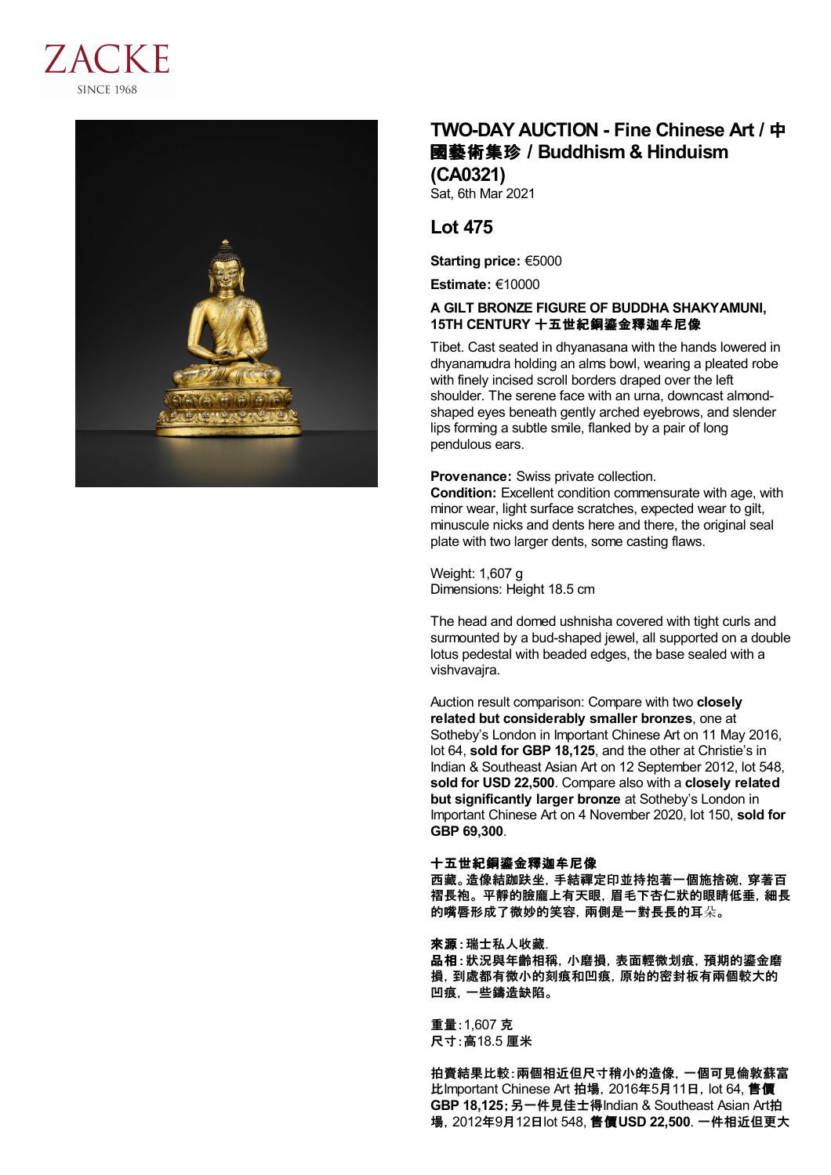



# **TWO-DAY AUCTION - Fine Chinese Art /** 中 國藝術集珍 **/Buddhism & Hinduism (CA0321)**

Sat, 6th Mar 2021

## **Lot 475**

**Starting price:** €5000

**Estimate:** €10000

## **A GILT BRONZE FIGURE OF BUDDHA SHAKYAMUNI, 15TH CENTURY** 十五世紀銅鎏金釋迦牟尼像

Tibet. Cast seated in dhyanasana with the hands lowered in dhyanamudra holding an alms bowl, wearing a pleated robe with finely incised scroll borders draped over the left shoulder. The serene face with an urna, downcast almondshaped eyes beneath gently arched eyebrows, and slender lips forming a subtle smile, flanked by a pair of long pendulous ears.

**Provenance:** Swiss private collection.

**Condition:** Excellent condition commensurate with age, with minor wear, light surface scratches, expected wear to gilt, minuscule nicks and dents here and there, the original seal plate with two larger dents, some casting flaws.

Weight: 1,607 g Dimensions: Height 18.5 cm

The head and domed ushnisha covered with tight curls and surmounted by a bud-shaped jewel, all supported on a double lotus pedestal with beaded edges, the base sealed with a vishvavajra.

Auction result comparison: Compare with two **closely related but considerably smaller bronzes**, one at Sotheby's London in Important Chinese Art on 11 May 2016, lot 64, **sold for GBP 18,125**, and the other at Christie's in Indian & Southeast Asian Art on 12 September 2012, lot 548, **sold for USD 22,500**. Compare also with a **closely related but significantly larger bronze** at Sotheby's London in Important Chinese Art on 4 November 2020, lot 150, **sold for GBP 69,300**.

### 十五世紀銅鎏金釋迦牟尼像

西藏。造像結跏趺坐,手結禪定印並持抱著一個施捨碗,穿著百 褶長袍。 平靜的臉龐上有天眼,眉毛下杏仁狀的眼睛低垂,細長 的嘴唇形成了微妙的笑容,兩側是一對長長的耳朵。

### 來源:瑞士私人收藏.

品相:狀況與年齡相稱,小磨損,表面輕微划痕,預期的鎏金磨 損,到處都有微小的刻痕和凹痕,原始的密封板有兩個較大的 凹痕,一些鑄造缺陷。

重量:1,607 克 尺寸:高18.5 厘米

拍賣結果比較:兩個相近但尺寸稍小的造像,一個可見倫敦蘇富 比Important Chinese Art 拍場, 2016年5月11日, lot 64, 售價 **GBP 18,125**;另一件見佳士得Indian & Southeast Asian Art拍 場,2012年9月12日lot 548, 售價**USD 22,500**. 一件相近但更大